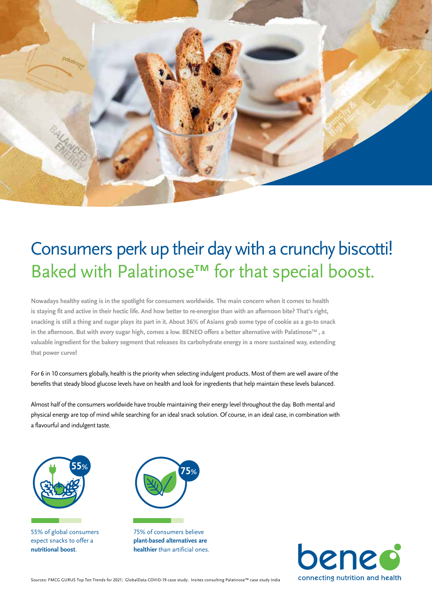

## Consumers perk up their day with a crunchy biscotti! Baked with Palatinose™ for that special boost.

**Nowadays healthy eating is in the spotlight for consumers worldwide. The main concern when it comes to health is staying fit and active in their hectic life. And how better to re-energise than with an afternoon bite? That's right, snacking is still a thing and sugar plays its part in it. About 36% of Asians grab some type of cookie as a go-to snack in the afternoon. But with every sugar high, comes a low. BENEO offers a better alternative with PalatinoseTM , a valuable ingredient for the bakery segment that releases its carbohydrate energy in a more sustained way, extending that power curve!** 

For 6 in 10 consumers globally, health is the priority when selecting indulgent products. Most of them are well aware of the benefits that steady blood glucose levels have on health and look for ingredients that help maintain these levels balanced.

Almost half of the consumers worldwide have trouble maintaining their energy level throughout the day. Both mental and physical energy are top of mind while searching for an ideal snack solution. Of course, in an ideal case, in combination with a flavourful and indulgent taste.



55% of global consumers expect snacks to offer a **nutritional boost**.



75% of consumers believe **plant-based alternatives are healthier** than artificial ones.